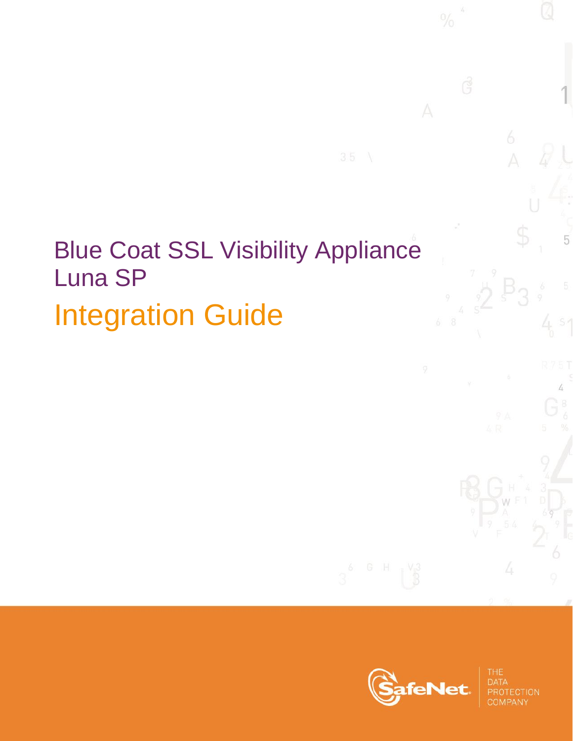# Blue Coat SSL Visibility Appliance Luna SP Integration Guide



**110N** 

5

4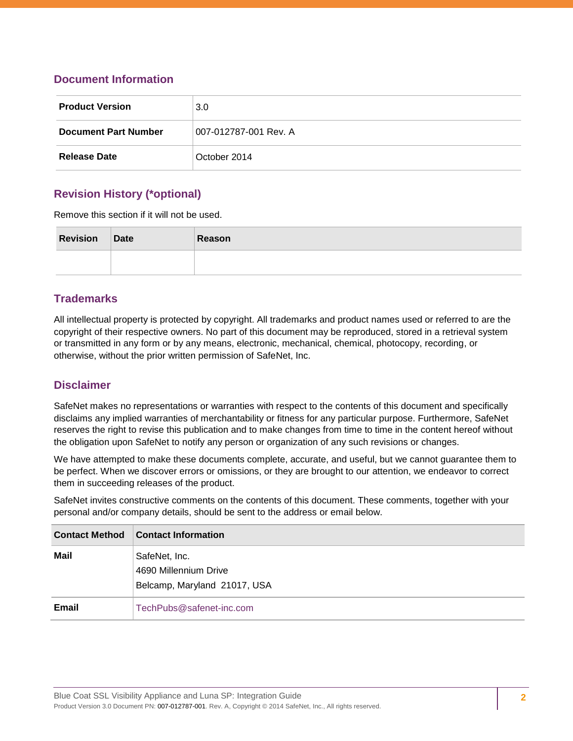## **Document Information**

| <b>Product Version</b>      | 3.0 <sub>2</sub>      |  |
|-----------------------------|-----------------------|--|
| <b>Document Part Number</b> | 007-012787-001 Rev. A |  |
| <b>Release Date</b>         | October 2014          |  |

## **Revision History (\*optional)**

Remove this section if it will not be used.

| <b>Revision</b> | Date | Reason |
|-----------------|------|--------|
|                 |      |        |

## **Trademarks**

All intellectual property is protected by copyright. All trademarks and product names used or referred to are the copyright of their respective owners. No part of this document may be reproduced, stored in a retrieval system or transmitted in any form or by any means, electronic, mechanical, chemical, photocopy, recording, or otherwise, without the prior written permission of SafeNet, Inc.

## **Disclaimer**

SafeNet makes no representations or warranties with respect to the contents of this document and specifically disclaims any implied warranties of merchantability or fitness for any particular purpose. Furthermore, SafeNet reserves the right to revise this publication and to make changes from time to time in the content hereof without the obligation upon SafeNet to notify any person or organization of any such revisions or changes.

We have attempted to make these documents complete, accurate, and useful, but we cannot guarantee them to be perfect. When we discover errors or omissions, or they are brought to our attention, we endeavor to correct them in succeeding releases of the product.

SafeNet invites constructive comments on the contents of this document. These comments, together with your personal and/or company details, should be sent to the address or email below.

| <b>Contact Method</b> | <b>Contact Information</b>                                             |
|-----------------------|------------------------------------------------------------------------|
| Mail                  | SafeNet, Inc.<br>4690 Millennium Drive<br>Belcamp, Maryland 21017, USA |
| Email                 | TechPubs@safenet-inc.com                                               |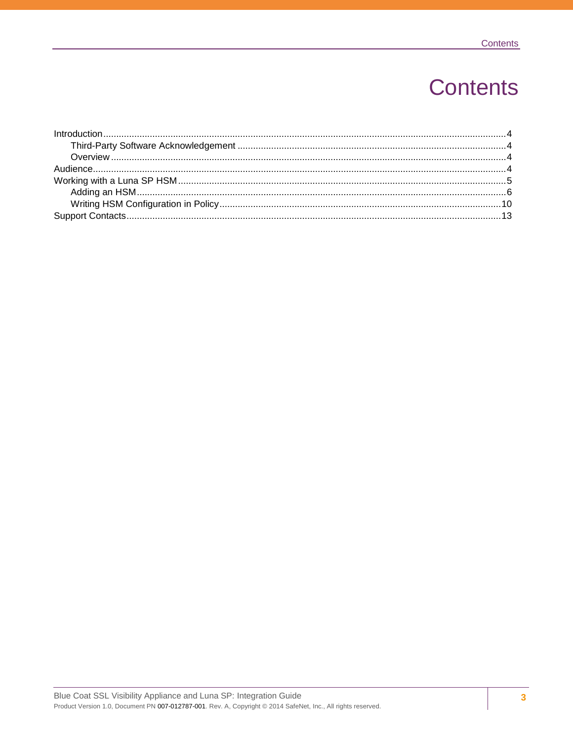## **Contents**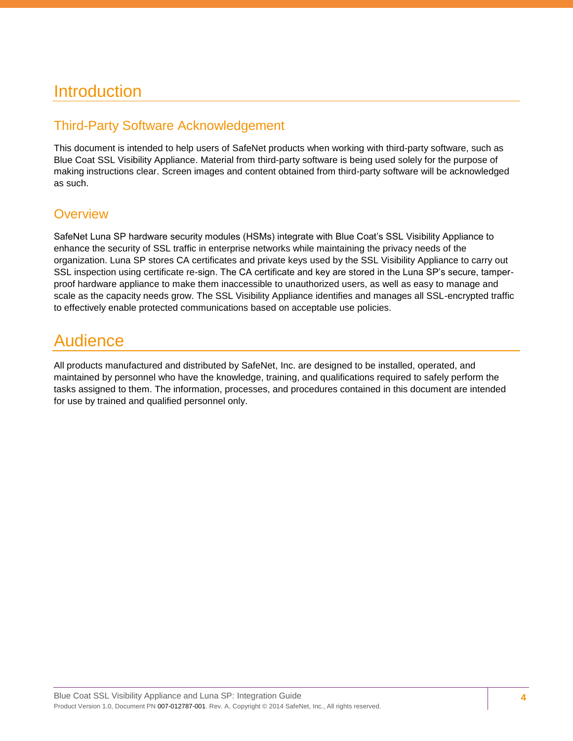## <span id="page-3-0"></span>**Introduction**

## <span id="page-3-1"></span>Third-Party Software Acknowledgement

This document is intended to help users of SafeNet products when working with third-party software, such as Blue Coat SSL Visibility Appliance. Material from third-party software is being used solely for the purpose of making instructions clear. Screen images and content obtained from third-party software will be acknowledged as such.

## <span id="page-3-2"></span>**Overview**

SafeNet Luna SP hardware security modules (HSMs) integrate with Blue Coat's SSL Visibility Appliance to enhance the security of SSL traffic in enterprise networks while maintaining the privacy needs of the organization. Luna SP stores CA certificates and private keys used by the SSL Visibility Appliance to carry out SSL inspection using certificate re-sign. The CA certificate and key are stored in the Luna SP's secure, tamperproof hardware appliance to make them inaccessible to unauthorized users, as well as easy to manage and scale as the capacity needs grow. The SSL Visibility Appliance identifies and manages all SSL-encrypted traffic to effectively enable protected communications based on acceptable use policies.

## <span id="page-3-3"></span>Audience

All products manufactured and distributed by SafeNet, Inc. are designed to be installed, operated, and maintained by personnel who have the knowledge, training, and qualifications required to safely perform the tasks assigned to them. The information, processes, and procedures contained in this document are intended for use by trained and qualified personnel only.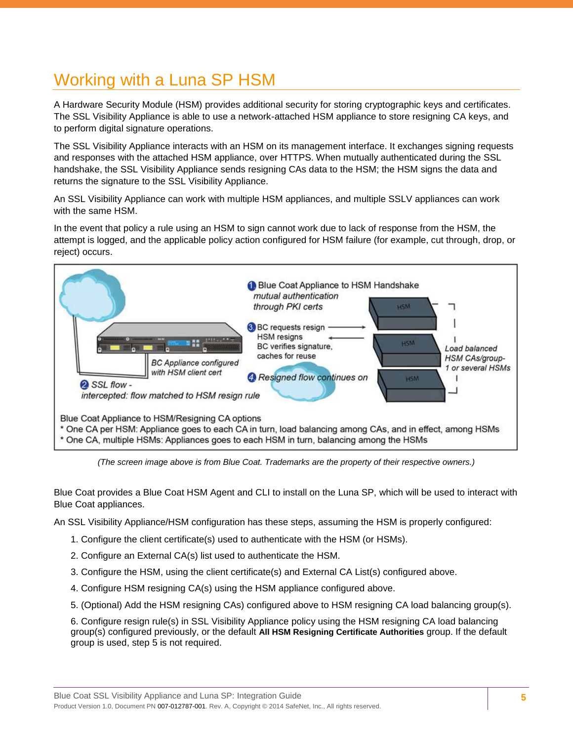## <span id="page-4-0"></span>Working with a Luna SP HSM

A Hardware Security Module (HSM) provides additional security for storing cryptographic keys and certificates. The SSL Visibility Appliance is able to use a network-attached HSM appliance to store resigning CA keys, and to perform digital signature operations.

The SSL Visibility Appliance interacts with an HSM on its management interface. It exchanges signing requests and responses with the attached HSM appliance, over HTTPS. When mutually authenticated during the SSL handshake, the SSL Visibility Appliance sends resigning CAs data to the HSM; the HSM signs the data and returns the signature to the SSL Visibility Appliance.

An SSL Visibility Appliance can work with multiple HSM appliances, and multiple SSLV appliances can work with the same HSM.

In the event that policy a rule using an HSM to sign cannot work due to lack of response from the HSM, the attempt is logged, and the applicable policy action configured for HSM failure (for example, cut through, drop, or reject) occurs.



*(The screen image above is from Blue Coat. Trademarks are the property of their respective owners.)*

Blue Coat provides a Blue Coat HSM Agent and CLI to install on the Luna SP, which will be used to interact with Blue Coat appliances.

An SSL Visibility Appliance/HSM configuration has these steps, assuming the HSM is properly configured:

- 1. Configure the client certificate(s) used to authenticate with the HSM (or HSMs).
- 2. Configure an External CA(s) list used to authenticate the HSM.
- 3. Configure the HSM, using the client certificate(s) and External CA List(s) configured above.
- 4. Configure HSM resigning CA(s) using the HSM appliance configured above.
- 5. (Optional) Add the HSM resigning CAs) configured above to HSM resigning CA load balancing group(s).

6. Configure resign rule(s) in SSL Visibility Appliance policy using the HSM resigning CA load balancing group(s) configured previously, or the default **All HSM Resigning Certificate Authorities** group. If the default group is used, step 5 is not required.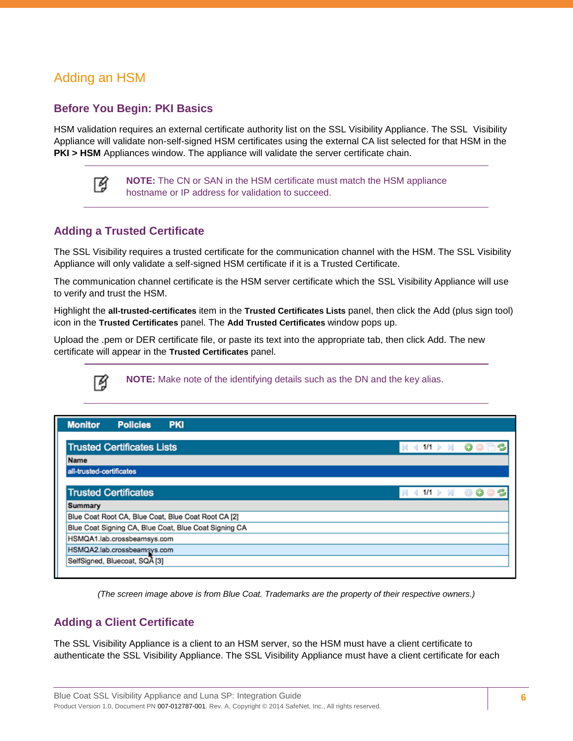## <span id="page-5-0"></span>Adding an HSM

## **Before You Begin: PKI Basics**

HSM validation requires an external certificate authority list on the SSL Visibility Appliance. The SSL Visibility Appliance will validate non-self-signed HSM certificates using the external CA list selected for that HSM in the **PKI > HSM** Appliances window. The appliance will validate the server certificate chain.



**NOTE:** The CN or SAN in the HSM certificate must match the HSM appliance hostname or IP address for validation to succeed.

### **Adding a Trusted Certificate**

The SSL Visibility requires a trusted certificate for the communication channel with the HSM. The SSL Visibility Appliance will only validate a self-signed HSM certificate if it is a Trusted Certificate.

The communication channel certificate is the HSM server certificate which the SSL Visibility Appliance will use to verify and trust the HSM.

Highlight the **all-trusted-certificates** item in the **Trusted Certificates Lists** panel, then click the Add (plus sign tool) icon in the **Trusted Certificates** panel. The **Add Trusted Certificates** window pops up.

Upload the .pem or DER certificate file, or paste its text into the appropriate tab, then click Add. The new certificate will appear in the **Trusted Certificates** panel.

**NOTE:** Make note of the identifying details such as the DN and the key alias.

| <b>Monitor</b><br><b>Policies</b><br><b>PKI</b>       |               |  |
|-------------------------------------------------------|---------------|--|
| <b>Trusted Certificates Lists</b>                     | 1/1           |  |
| Name                                                  |               |  |
| all-trusted-certificates                              |               |  |
| <b>Trusted Certificates</b><br><b>Summary</b>         | B<br>1/1<br>Ø |  |
| Blue Coat Root CA, Blue Coat, Blue Coat Root CA [2]   |               |  |
| Blue Coat Signing CA, Blue Coat, Blue Coat Signing CA |               |  |
| HSMQA1.lab.crossbeamsys.com                           |               |  |
| HSMQA2.lab.crossbeamsys.com                           |               |  |
| SelfSigned, Bluecoat, SQA [3]                         |               |  |

*(The screen image above is from Blue Coat. Trademarks are the property of their respective owners.)*

#### **Adding a Client Certificate**

The SSL Visibility Appliance is a client to an HSM server, so the HSM must have a client certificate to authenticate the SSL Visibility Appliance. The SSL Visibility Appliance must have a client certificate for each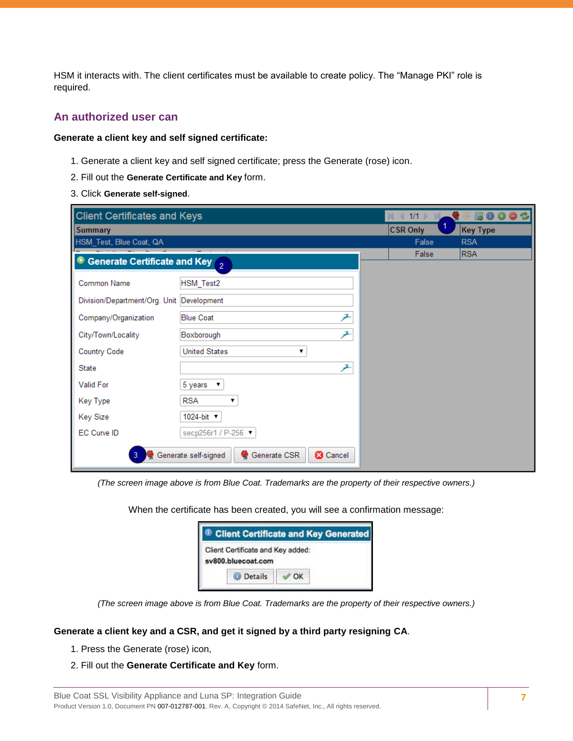HSM it interacts with. The client certificates must be available to create policy. The "Manage PKI" role is required.

#### **An authorized user can**

#### **Generate a client key and self signed certificate:**

- 1. Generate a client key and self signed certificate; press the Generate (rose) icon.
- 2. Fill out the **Generate Certificate and Key** form.
- 3. Click **Generate self-signed**.

| <b>Client Certificates and Keys</b>                | 1/1                                                     | 003<br>$\bullet$<br>厬 |            |
|----------------------------------------------------|---------------------------------------------------------|-----------------------|------------|
| <b>Summary</b>                                     |                                                         | 1<br><b>CSR Only</b>  | Key Type   |
| HSM_Test, Blue Coat, QA                            |                                                         | False                 | <b>RSA</b> |
| Generate Certificate and Key $\sigma$<br>$\bullet$ |                                                         | False                 | <b>RSA</b> |
| <b>Common Name</b>                                 | HSM_Test2                                               |                       |            |
| Division/Department/Org. Unit Development          |                                                         |                       |            |
| Company/Organization                               | 尹<br><b>Blue Coat</b>                                   |                       |            |
| City/Town/Locality                                 | 尹<br>Boxborough                                         |                       |            |
| <b>Country Code</b>                                | <b>United States</b><br>7                               |                       |            |
| State                                              | 尹                                                       |                       |            |
| <b>Valid For</b>                                   | 5 years<br>▼                                            |                       |            |
| Key Type                                           | <b>RSA</b><br>▼                                         |                       |            |
| <b>Key Size</b>                                    | 1024-bit <b>v</b>                                       |                       |            |
| EC Curve ID                                        | secp256r1 / P-256 ▼                                     |                       |            |
| 3                                                  | Generate self-signed<br>Generate CSR<br><b>3</b> Cancel |                       |            |

*(The screen image above is from Blue Coat. Trademarks are the property of their respective owners.)*

When the certificate has been created, you will see a confirmation message:

|                                                         | <b>Client Certificate and Key Generated</b> |  |
|---------------------------------------------------------|---------------------------------------------|--|
| Client Certificate and Key added:<br>sv800.bluecoat.com |                                             |  |
| <b>Details</b>                                          | OK                                          |  |

*(The screen image above is from Blue Coat. Trademarks are the property of their respective owners.)*

#### **Generate a client key and a CSR, and get it signed by a third party resigning CA**.

- 1. Press the Generate (rose) icon,
- 2. Fill out the **Generate Certificate and Key** form.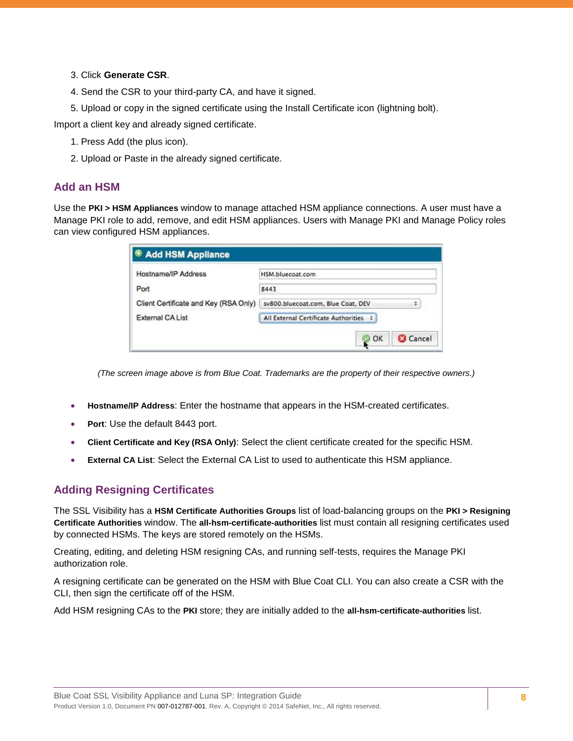#### 3. Click **Generate CSR**.

- 4. Send the CSR to your third-party CA, and have it signed.
- 5. Upload or copy in the signed certificate using the Install Certificate icon (lightning bolt).

Import a client key and already signed certificate.

- 1. Press Add (the plus icon).
- 2. Upload or Paste in the already signed certificate.

#### **Add an HSM**

Use the **PKI > HSM Appliances** window to manage attached HSM appliance connections. A user must have a Manage PKI role to add, remove, and edit HSM appliances. Users with Manage PKI and Manage Policy roles can view configured HSM appliances.

| <sup>®</sup> Add HSM Appliance        |                                         |
|---------------------------------------|-----------------------------------------|
| Hostname/IP Address                   | HSM.bluecoat.com                        |
| Port                                  | 8443                                    |
| Client Certificate and Key (RSA Only) | sv800.bluecoat.com, Blue Coat, DEV<br>٠ |
| External CA List                      | All External Certificate Authorities :  |
|                                       | <b>3</b> Cancel<br>$\mathbb{Q}$ ok      |

*(The screen image above is from Blue Coat. Trademarks are the property of their respective owners.)*

- **Hostname/IP Address**: Enter the hostname that appears in the HSM-created certificates.
- **Port**: Use the default 8443 port.
- **Client Certificate and Key (RSA Only)**: Select the client certificate created for the specific HSM.
- **External CA List**: Select the External CA List to used to authenticate this HSM appliance.

## **Adding Resigning Certificates**

The SSL Visibility has a **HSM Certificate Authorities Groups** list of load-balancing groups on the **PKI > Resigning Certificate Authorities** window. The **all-hsm-certificate-authorities** list must contain all resigning certificates used by connected HSMs. The keys are stored remotely on the HSMs.

Creating, editing, and deleting HSM resigning CAs, and running self-tests, requires the Manage PKI authorization role.

A resigning certificate can be generated on the HSM with Blue Coat CLI. You can also create a CSR with the CLI, then sign the certificate off of the HSM.

Add HSM resigning CAs to the **PKI** store; they are initially added to the **all-hsm-certificate-authorities** list.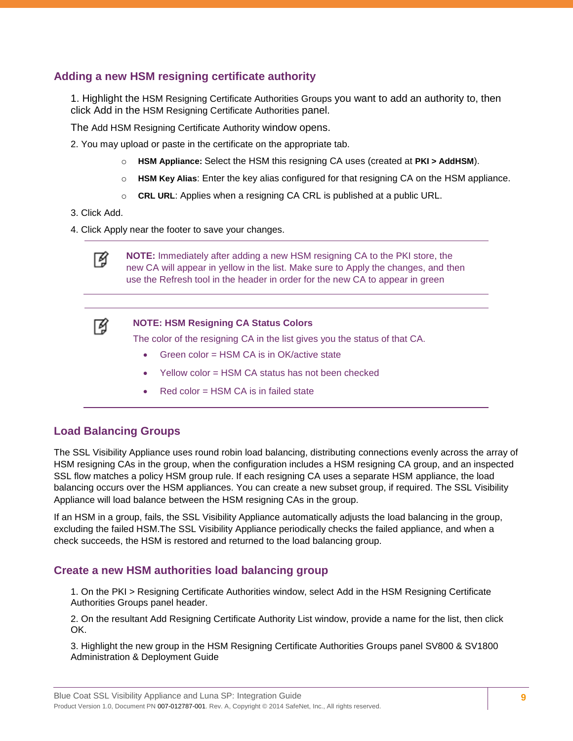## **Adding a new HSM resigning certificate authority**

1. Highlight the HSM Resigning Certificate Authorities Groups you want to add an authority to, then click Add in the HSM Resigning Certificate Authorities panel.

The Add HSM Resigning Certificate Authority window opens.

2. You may upload or paste in the certificate on the appropriate tab.

- o **HSM Appliance:** Select the HSM this resigning CA uses (created at **PKI > AddHSM**).
- o **HSM Key Alias**: Enter the key alias configured for that resigning CA on the HSM appliance.
- o **CRL URL**: Applies when a resigning CA CRL is published at a public URL.
- 3. Click Add.
- 4. Click Apply near the footer to save your changes.



**NOTE:** Immediately after adding a new HSM resigning CA to the PKI store, the new CA will appear in yellow in the list. Make sure to Apply the changes, and then use the Refresh tool in the header in order for the new CA to appear in green



#### **NOTE: HSM Resigning CA Status Colors**

The color of the resigning CA in the list gives you the status of that CA.

- Green color = HSM CA is in OK/active state
- Yellow color = HSM CA status has not been checked
- Red color = HSM CA is in failed state

## **Load Balancing Groups**

The SSL Visibility Appliance uses round robin load balancing, distributing connections evenly across the array of HSM resigning CAs in the group, when the configuration includes a HSM resigning CA group, and an inspected SSL flow matches a policy HSM group rule. If each resigning CA uses a separate HSM appliance, the load balancing occurs over the HSM appliances. You can create a new subset group, if required. The SSL Visibility Appliance will load balance between the HSM resigning CAs in the group.

If an HSM in a group, fails, the SSL Visibility Appliance automatically adjusts the load balancing in the group, excluding the failed HSM.The SSL Visibility Appliance periodically checks the failed appliance, and when a check succeeds, the HSM is restored and returned to the load balancing group.

## **Create a new HSM authorities load balancing group**

1. On the PKI > Resigning Certificate Authorities window, select Add in the HSM Resigning Certificate Authorities Groups panel header.

2. On the resultant Add Resigning Certificate Authority List window, provide a name for the list, then click OK.

3. Highlight the new group in the HSM Resigning Certificate Authorities Groups panel SV800 & SV1800 Administration & Deployment Guide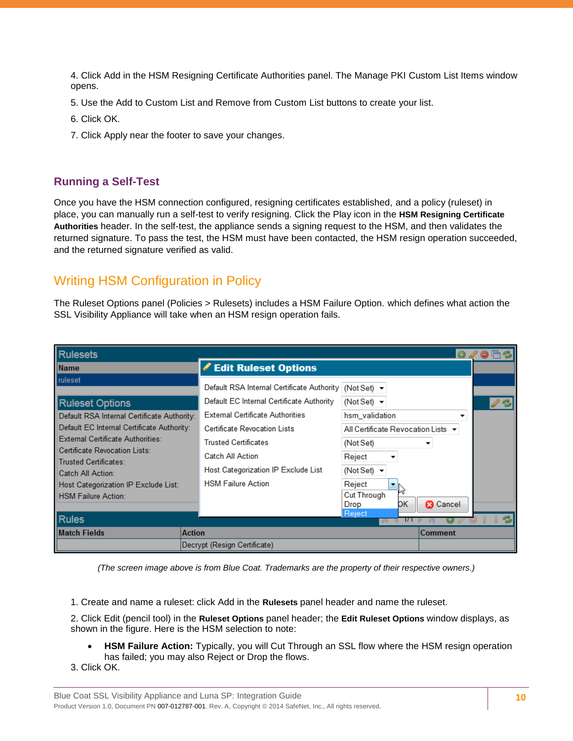4. Click Add in the HSM Resigning Certificate Authorities panel. The Manage PKI Custom List Items window opens.

- 5. Use the Add to Custom List and Remove from Custom List buttons to create your list.
- 6. Click OK.
- 7. Click Apply near the footer to save your changes.

#### **Running a Self-Test**

Once you have the HSM connection configured, resigning certificates established, and a policy (ruleset) in place, you can manually run a self-test to verify resigning. Click the Play icon in the **HSM Resigning Certificate Authorities** header. In the self-test, the appliance sends a signing request to the HSM, and then validates the returned signature. To pass the test, the HSM must have been contacted, the HSM resign operation succeeded, and the returned signature verified as valid.

## <span id="page-9-0"></span>Writing HSM Configuration in Policy

The Ruleset Options panel (Policies > Rulesets) includes a HSM Failure Option. which defines what action the SSL Visibility Appliance will take when an HSM resign operation fails.

| <b>I</b> Rulesets                                                                                                                                                                                                                                                                                                                      |                                                                                                                                                                                                                                                                                                                                                                                                                                                                   | $\odot$<br>$\bullet$ $\Box$        |
|----------------------------------------------------------------------------------------------------------------------------------------------------------------------------------------------------------------------------------------------------------------------------------------------------------------------------------------|-------------------------------------------------------------------------------------------------------------------------------------------------------------------------------------------------------------------------------------------------------------------------------------------------------------------------------------------------------------------------------------------------------------------------------------------------------------------|------------------------------------|
| <b>Name</b>                                                                                                                                                                                                                                                                                                                            | Edit Ruleset Options                                                                                                                                                                                                                                                                                                                                                                                                                                              |                                    |
| ruleset<br><b>Ruleset Options</b><br>Default RSA Internal Certificate Authority:<br>Default EC Internal Certificate Authority:<br><b>External Certificate Authorities:</b><br>Certificate Revocation Lists:<br><b>Trusted Certificates:</b><br>Catch All Action:<br>Host Categorization IP Exclude List:<br><b>HSM Failure Action:</b> | Default RSA Internal Certificate Authority   (Not Set) -<br>Default EC Internal Certificate Authority<br>(Not Set) $\sim$<br><b>External Certificate Authorities</b><br>hsm_validation<br><b>Certificate Revocation Lists</b><br><b>Trusted Certificates</b><br>(Not Set)<br><b>Catch All Action</b><br>Reject<br><b>Host Categorization IP Exclude List</b><br>(Not Set) $\blacktriangleright$<br><b>HSM Failure Action</b><br>Reject<br>▼<br><b>Cut Through</b> | All Certificate Revocation Lists ▼ |
| <b>Rules</b>                                                                                                                                                                                                                                                                                                                           | Drop<br>Reject                                                                                                                                                                                                                                                                                                                                                                                                                                                    | DК<br><b>3</b> Cancel              |
| <b>Match Fields</b>                                                                                                                                                                                                                                                                                                                    | <b>Action</b>                                                                                                                                                                                                                                                                                                                                                                                                                                                     | <b>Comment</b>                     |
|                                                                                                                                                                                                                                                                                                                                        | Decrypt (Resign Certificate)                                                                                                                                                                                                                                                                                                                                                                                                                                      |                                    |

*(The screen image above is from Blue Coat. Trademarks are the property of their respective owners.)*

1. Create and name a ruleset: click Add in the **Rulesets** panel header and name the ruleset.

2. Click Edit (pencil tool) in the **Ruleset Options** panel header; the **Edit Ruleset Options** window displays, as shown in the figure. Here is the HSM selection to note:

- **HSM Failure Action:** Typically, you will Cut Through an SSL flow where the HSM resign operation has failed; you may also Reject or Drop the flows.
- 3. Click OK.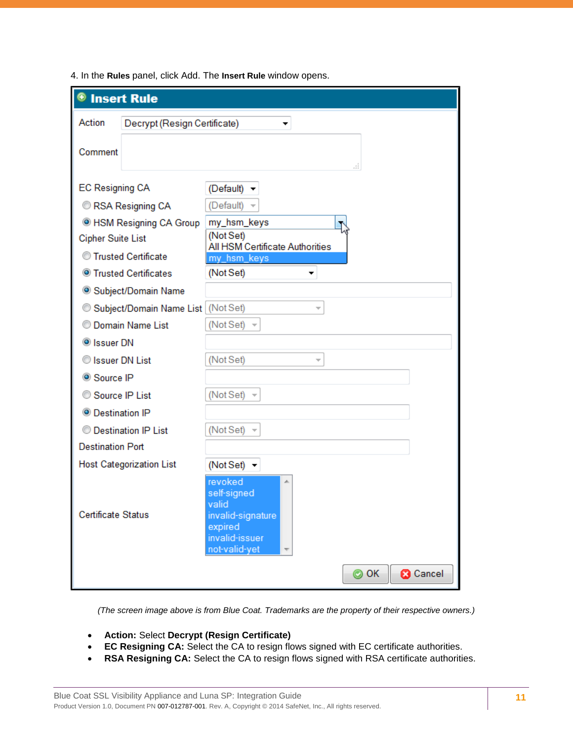| 4. In the Rules panel, click Add. The Insert Rule window opens. |  |  |  |
|-----------------------------------------------------------------|--|--|--|
|                                                                 |  |  |  |

| <b>Insert Rule</b>                     |                                                                                                         |
|----------------------------------------|---------------------------------------------------------------------------------------------------------|
| Action<br>Decrypt (Resign Certificate) | ▼                                                                                                       |
| Comment                                | đ                                                                                                       |
| <b>EC Resigning CA</b>                 | (Default) $\blacktriangleright$                                                                         |
| RSA Resigning CA                       | (Default)                                                                                               |
| <sup>O</sup> HSM Resigning CA Group    | my_hsm_keys                                                                                             |
| <b>Cipher Suite List</b>               | (Not Set)<br>All HSM Certificate Authorities                                                            |
| C Trusted Certificate                  | my_hsm_keys                                                                                             |
| <b>Solution</b> Trusted Certificates   | (Not Set)<br>▼                                                                                          |
| Subject/Domain Name                    |                                                                                                         |
| Subject/Domain Name List               | (Not Set)                                                                                               |
| C Domain Name List                     | (Not Set) $\sim$                                                                                        |
| <sup>O</sup> Issuer DN                 |                                                                                                         |
| Sissuer DN List                        | (Not Set)<br>÷                                                                                          |
| Source IP                              |                                                                                                         |
| Source IP List                         | (Not Set) $\sim$                                                                                        |
| <sup>O</sup> Destination IP            |                                                                                                         |
| <b>Destination IP List</b>             | (Not Set) $\sim$                                                                                        |
| <b>Destination Port</b>                |                                                                                                         |
| <b>Host Categorization List</b>        | (Not Set) $\blacktriangleright$                                                                         |
| <b>Certificate Status</b>              | revoked<br>止<br>self-signed<br>valid<br>invalid-signature<br>expired<br>invalid-issuer<br>not-valid-yet |
|                                        | $\odot$ OK<br><b>3</b> Cancel                                                                           |

*(The screen image above is from Blue Coat. Trademarks are the property of their respective owners.)*

- **Action:** Select **Decrypt (Resign Certificate)**
- **EC Resigning CA:** Select the CA to resign flows signed with EC certificate authorities.
- **RSA Resigning CA:** Select the CA to resign flows signed with RSA certificate authorities.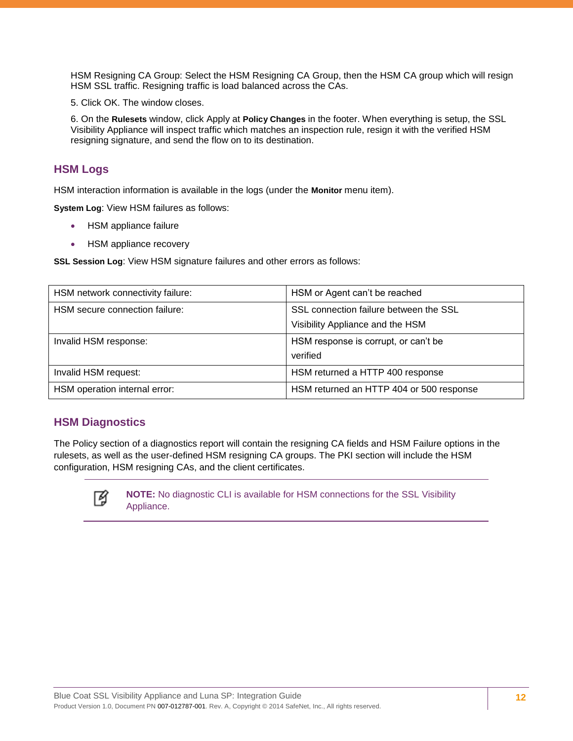HSM Resigning CA Group: Select the HSM Resigning CA Group, then the HSM CA group which will resign HSM SSL traffic. Resigning traffic is load balanced across the CAs.

5. Click OK. The window closes.

6. On the **Rulesets** window, click Apply at **Policy Changes** in the footer. When everything is setup, the SSL Visibility Appliance will inspect traffic which matches an inspection rule, resign it with the verified HSM resigning signature, and send the flow on to its destination.

#### **HSM Logs**

HSM interaction information is available in the logs (under the **Monitor** menu item).

**System Log**: View HSM failures as follows:

- HSM appliance failure
- HSM appliance recovery

**SSL Session Log**: View HSM signature failures and other errors as follows:

| HSM network connectivity failure: | HSM or Agent can't be reached            |
|-----------------------------------|------------------------------------------|
| HSM secure connection failure:    | SSL connection failure between the SSL   |
|                                   | Visibility Appliance and the HSM         |
| Invalid HSM response:             | HSM response is corrupt, or can't be     |
|                                   | verified                                 |
| Invalid HSM request:              | HSM returned a HTTP 400 response         |
| HSM operation internal error:     | HSM returned an HTTP 404 or 500 response |

#### **HSM Diagnostics**

The Policy section of a diagnostics report will contain the resigning CA fields and HSM Failure options in the rulesets, as well as the user-defined HSM resigning CA groups. The PKI section will include the HSM configuration, HSM resigning CAs, and the client certificates.



**NOTE:** No diagnostic CLI is available for HSM connections for the SSL Visibility Appliance.